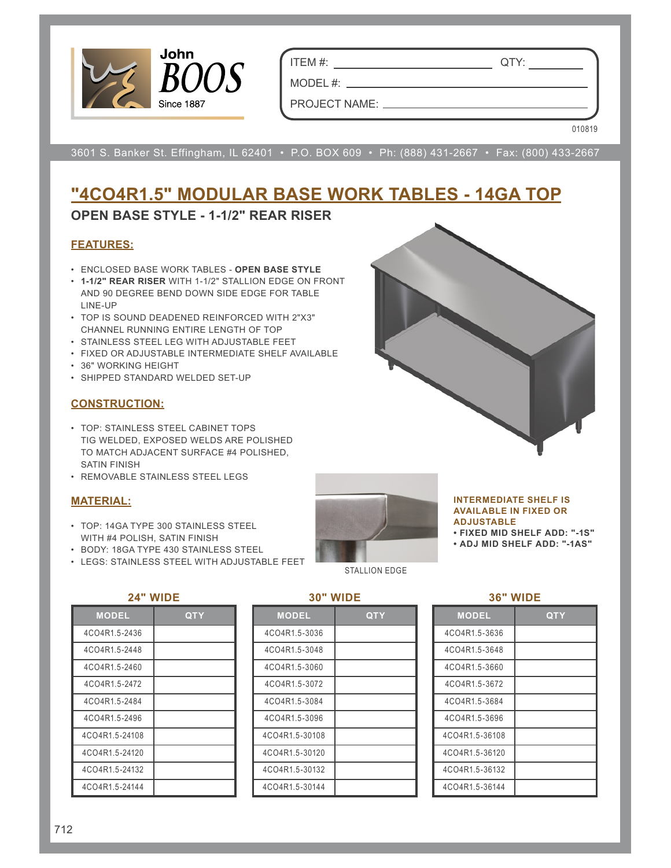

ITEM #: QTY:

MODEL #: PROJECT NAME:

010819

3601 S. Banker St. Effingham, IL 62401 • P.O. BOX 609 • Ph: (888) 431-2667 • Fax: (800) 433-2667

# **"4CO4R1.5" MODULAR BASE WORK TABLES - 14GA TOP**

## **OPEN BASE STYLE - 1-1/2" REAR RISER**

### **FEATURES:**

- ENCLOSED BASE WORK TABLES **OPEN BASE STYLE**
- **1-1/2" REAR RISER** WITH 1-1/2" STALLION EDGE ON FRONT AND 90 DEGREE BEND DOWN SIDE EDGE FOR TABLE LINE-UP
- TOP IS SOUND DEADENED REINFORCED WITH 2"X3" CHANNEL RUNNING ENTIRE LENGTH OF TOP
- STAINLESS STEEL LEG WITH ADJUSTABLE FEET
- FIXED OR ADJUSTABLE INTERMEDIATE SHELF AVAILABLE
- 36" WORKING HEIGHT
- SHIPPED STANDARD WELDED SET-UP

### **CONSTRUCTION:**

- TOP: STAINLESS STEEL CABINET TOPS TIG WELDED, EXPOSED WELDS ARE POLISHED TO MATCH ADJACENT SURFACE #4 POLISHED, SATIN FINISH
- REMOVABLE STAINLESS STEEL LEGS

### **MATERIAL:**

- TOP: 14GA TYPE 300 STAINLESS STEEL WITH #4 POLISH, SATIN FINISH
- BODY: 18GA TYPE 430 STAINLESS STEEL
- LEGS: STAINLESS STEEL WITH ADJUSTABLE FEET



#### **INTERMEDIATE SHELF IS AVAILABLE IN FIXED OR ADJUSTABLE**

**• FIXED MID SHELF ADD: "-1S"**

**• ADJ MID SHELF ADD: "-1AS"**

#### **24" WIDE**

| <b>MODEL</b>   | <b>QTY</b> |  |  |  |  |  |  |  |
|----------------|------------|--|--|--|--|--|--|--|
| 4CO4R1.5-2436  |            |  |  |  |  |  |  |  |
| 4CO4R1.5-2448  |            |  |  |  |  |  |  |  |
| 4CO4R1.5-2460  |            |  |  |  |  |  |  |  |
| 4CO4R1.5-2472  |            |  |  |  |  |  |  |  |
| 4CO4R1.5-2484  |            |  |  |  |  |  |  |  |
| 4CO4R1.5-2496  |            |  |  |  |  |  |  |  |
| 4CO4R1.5-24108 |            |  |  |  |  |  |  |  |
| 4CO4R1.5-24120 |            |  |  |  |  |  |  |  |
| 4CO4R1.5-24132 |            |  |  |  |  |  |  |  |
| 4CO4R1.5-24144 |            |  |  |  |  |  |  |  |

#### **30" WIDE**

| <b>MODEL</b>   | QTY |
|----------------|-----|
| 4CO4R1.5-3036  |     |
| 4CO4R1.5-3048  |     |
| 4CO4R1.5-3060  |     |
| 4CO4R1.5-3072  |     |
| 4CO4R1.5-3084  |     |
| 4CO4R1.5-3096  |     |
| 4CO4R1.5-30108 |     |
| 4CO4R1.5-30120 |     |
| 4CO4R1.5-30132 |     |
| 4CO4R1.5-30144 |     |

| . . | WIDE |
|-----|------|
|     |      |

| <b>MODEL</b>   | <u>QTY</u> |
|----------------|------------|
| 4CO4R1.5-3636  |            |
| 4CO4R1.5-3648  |            |
| 4CO4R1.5-3660  |            |
| 4CO4R1.5-3672  |            |
| 4CO4R1.5-3684  |            |
| 4CO4R1.5-3696  |            |
| 4CO4R1.5-36108 |            |
| 4CO4R1.5-36120 |            |
| 4CO4R1.5-36132 |            |
| 4CO4R1.5-36144 |            |